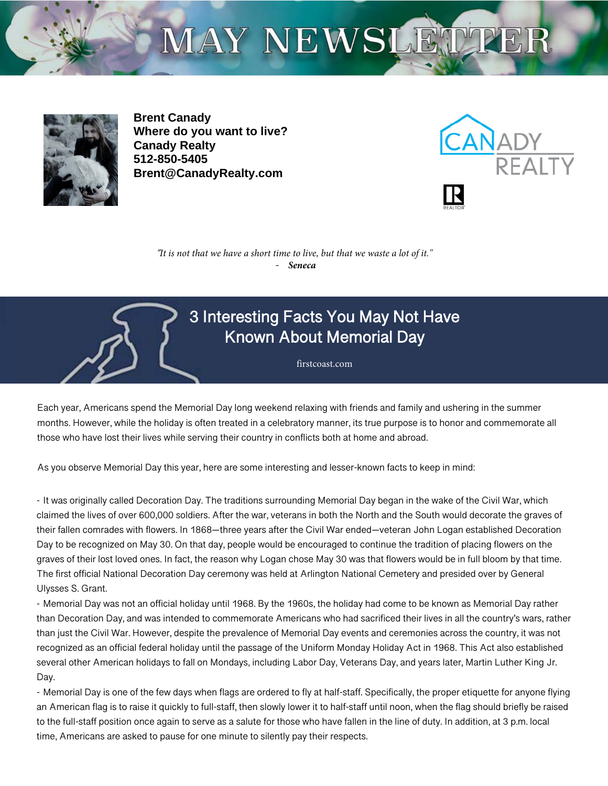# MAY NEWSLETTER



**Brent Canady Where do you want to live? Canady Realty 512-850-5405 Brent@CanadyRealty.com**



"*It is not that we have a short time to live, but that we waste a lot of it."* - *Seneca*



## 3 Interesting Facts You May Not Have Known About Memorial Day

firstcoast.com

Each year, Americans spend the Memorial Day long weekend relaxing with friends and family and ushering in the summer months. However, while the holiday is often treated in a celebratory manner, its true purpose is to honor and commemorate all those who have lost their lives while serving their country in conflicts both at home and abroad.

As you observe Memorial Day this year, here are some interesting and lesser-known facts to keep in mind:

- It was originally called Decoration Day. The traditions surrounding Memorial Day began in the wake of the Civil War, which claimed the lives of over 600,000 soldiers. After the war, veterans in both the North and the South would decorate the graves of their fallen comrades with flowers. In 1868—three years after the Civil War ended—veteran John Logan established Decoration Day to be recognized on May 30. On that day, people would be encouraged to continue the tradition of placing flowers on the graves of their lost loved ones. In fact, the reason why Logan chose May 30 was that flowers would be in full bloom by that time. The first official National Decoration Day ceremony was held at Arlington National Cemetery and presided over by General Ulysses S. Grant.

- Memorial Day was not an official holiday until 1968. By the 1960s, the holiday had come to be known as Memorial Day rather than Decoration Day, and was intended to commemorate Americans who had sacrificed their lives in all the country's wars, rather than just the Civil War. However, despite the prevalence of Memorial Day events and ceremonies across the country, it was not recognized as an official federal holiday until the passage of the Uniform Monday Holiday Act in 1968. This Act also established several other American holidays to fall on Mondays, including Labor Day, Veterans Day, and years later, Martin Luther King Jr. Day.

- Memorial Day is one of the few days when flags are ordered to fly at half-staff. Specifically, the proper etiquette for anyone flying an American flag is to raise it quickly to full-staff, then slowly lower it to half-staff until noon, when the flag should briefly be raised to the full-staff position once again to serve as a salute for those who have fallen in the line of duty. In addition, at 3 p.m. local time, Americans are asked to pause for one minute to silently pay their respects.